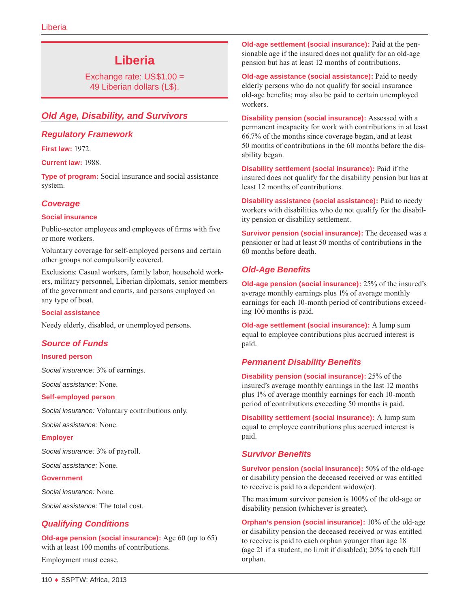# **Liberia**

Exchange rate: US\$1.00 = 49 Liberian dollars (L\$).

# *Old Age, Disability, and Survivors*

# *Regulatory Framework*

**First law:** 1972.

**Current law:** 1988.

**Type of program:** Social insurance and social assistance system.

# *Coverage*

#### **Social insurance**

Public-sector employees and employees of firms with five or more workers.

Voluntary coverage for self-employed persons and certain other groups not compulsorily covered.

Exclusions: Casual workers, family labor, household workers, military personnel, Liberian diplomats, senior members of the government and courts, and persons employed on any type of boat.

#### **Social assistance**

Needy elderly, disabled, or unemployed persons.

#### *Source of Funds*

#### **Insured person**

*Social insurance:* 3% of earnings.

*Social assistance:* None.

#### **Self-employed person**

*Social insurance:* Voluntary contributions only.

*Social assistance:* None.

#### **Employer**

*Social insurance:* 3% of payroll.

*Social assistance:* None.

#### **Government**

*Social insurance:* None.

*Social assistance:* The total cost.

# *Qualifying Conditions*

**Old-age pension (social insurance):** Age 60 (up to 65) with at least 100 months of contributions.

Employment must cease.

**Old-age settlement (social insurance):** Paid at the pensionable age if the insured does not qualify for an old-age pension but has at least 12 months of contributions.

**Old-age assistance (social assistance):** Paid to needy elderly persons who do not qualify for social insurance old-age benefits; may also be paid to certain unemployed workers.

**Disability pension (social insurance):** Assessed with a permanent incapacity for work with contributions in at least 66.7% of the months since coverage began, and at least 50 months of contributions in the 60 months before the disability began.

**Disability settlement (social insurance):** Paid if the insured does not qualify for the disability pension but has at least 12 months of contributions.

**Disability assistance (social assistance):** Paid to needy workers with disabilities who do not qualify for the disability pension or disability settlement.

**Survivor pension (social insurance):** The deceased was a pensioner or had at least 50 months of contributions in the 60 months before death.

# *Old-Age Benefits*

**Old-age pension (social insurance):** 25% of the insured's average monthly earnings plus 1% of average monthly earnings for each 10-month period of contributions exceeding 100 months is paid.

**Old-age settlement (social insurance):** A lump sum equal to employee contributions plus accrued interest is paid.

# *Permanent Disability Benefits*

**Disability pension (social insurance):** 25% of the insured's average monthly earnings in the last 12 months plus 1% of average monthly earnings for each 10-month period of contributions exceeding 50 months is paid.

**Disability settlement (social insurance):** A lump sum equal to employee contributions plus accrued interest is paid.

#### *Survivor Benefits*

**Survivor pension (social insurance):** 50% of the old-age or disability pension the deceased received or was entitled to receive is paid to a dependent widow(er).

The maximum survivor pension is 100% of the old-age or disability pension (whichever is greater).

**Orphan's pension (social insurance):** 10% of the old-age or disability pension the deceased received or was entitled to receive is paid to each orphan younger than age 18 (age 21 if a student, no limit if disabled); 20% to each full orphan.